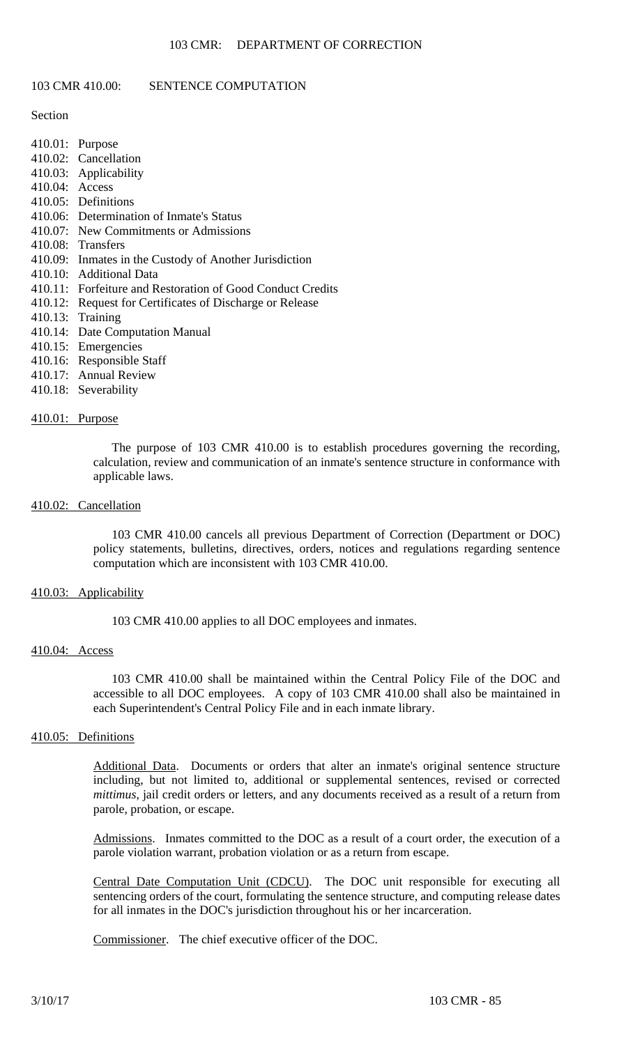## 103 CMR 410.00: SENTENCE COMPUTATION

## Section

- 410.01: Purpose
- 410.02: Cancellation
- 410.03: Applicability
- 410.04: Access
- 410.05: Definitions
- 410.06: Determination of Inmate's Status
- 410.07: New Commitments or Admissions
- 410.08: Transfers
- 410.09: Inmates in the Custody of Another Jurisdiction
- 410.10: Additional Data
- 410.11: Forfeiture and Restoration of Good Conduct Credits
- 410.12: Request for Certificates of Discharge or Release
- 410.13: Training
- 410.14: Date Computation Manual
- 410.15: Emergencies
- 410.16: Responsible Staff
- 410.17: Annual Review
- 410.18: Severability

## 410.01: Purpose

The purpose of 103 CMR 410.00 is to establish procedures governing the recording, calculation, review and communication of an inmate's sentence structure in conformance with applicable laws.

## 410.02: Cancellation

103 CMR 410.00 cancels all previous Department of Correction (Department or DOC) policy statements, bulletins, directives, orders, notices and regulations regarding sentence computation which are inconsistent with 103 CMR 410.00.

## 410.03: Applicability

103 CMR 410.00 applies to all DOC employees and inmates.

## 410.04: Access

103 CMR 410.00 shall be maintained within the Central Policy File of the DOC and accessible to all DOC employees. A copy of 103 CMR 410.00 shall also be maintained in each Superintendent's Central Policy File and in each inmate library.

## 410.05: Definitions

Additional Data. Documents or orders that alter an inmate's original sentence structure including, but not limited to, additional or supplemental sentences, revised or corrected *mittimus*, jail credit orders or letters, and any documents received as a result of a return from parole, probation, or escape.

Admissions. Inmates committed to the DOC as a result of a court order, the execution of a parole violation warrant, probation violation or as a return from escape.

Central Date Computation Unit (CDCU). The DOC unit responsible for executing all sentencing orders of the court, formulating the sentence structure, and computing release dates for all inmates in the DOC's jurisdiction throughout his or her incarceration.

Commissioner. The chief executive officer of the DOC.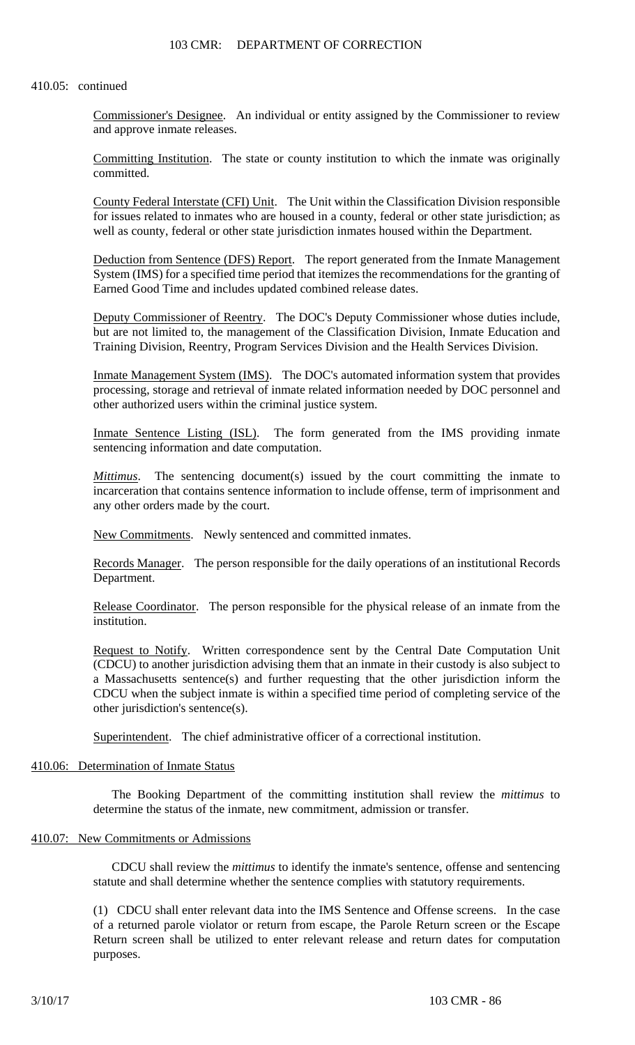## 103 CMR: DEPARTMENT OF CORRECTION

## 410.05: continued

Commissioner's Designee. An individual or entity assigned by the Commissioner to review and approve inmate releases.

Committing Institution. The state or county institution to which the inmate was originally committed.

County Federal Interstate (CFI) Unit. The Unit within the Classification Division responsible for issues related to inmates who are housed in a county, federal or other state jurisdiction; as well as county, federal or other state jurisdiction inmates housed within the Department.

Deduction from Sentence (DFS) Report. The report generated from the Inmate Management System (IMS) for a specified time period that itemizes the recommendations for the granting of Earned Good Time and includes updated combined release dates.

Deputy Commissioner of Reentry. The DOC's Deputy Commissioner whose duties include, but are not limited to, the management of the Classification Division, Inmate Education and Training Division, Reentry, Program Services Division and the Health Services Division.

Inmate Management System (IMS). The DOC's automated information system that provides processing, storage and retrieval of inmate related information needed by DOC personnel and other authorized users within the criminal justice system.

Inmate Sentence Listing (ISL). The form generated from the IMS providing inmate sentencing information and date computation.

*Mittimus*. The sentencing document(s) issued by the court committing the inmate to incarceration that contains sentence information to include offense, term of imprisonment and any other orders made by the court.

New Commitments. Newly sentenced and committed inmates.

Records Manager. The person responsible for the daily operations of an institutional Records Department.

Release Coordinator. The person responsible for the physical release of an inmate from the institution.

Request to Notify. Written correspondence sent by the Central Date Computation Unit (CDCU) to another jurisdiction advising them that an inmate in their custody is also subject to a Massachusetts sentence(s) and further requesting that the other jurisdiction inform the CDCU when the subject inmate is within a specified time period of completing service of the other jurisdiction's sentence(s).

Superintendent. The chief administrative officer of a correctional institution.

# 410.06: Determination of Inmate Status

The Booking Department of the committing institution shall review the *mittimus* to determine the status of the inmate, new commitment, admission or transfer.

## 410.07: New Commitments or Admissions

CDCU shall review the *mittimus* to identify the inmate's sentence, offense and sentencing statute and shall determine whether the sentence complies with statutory requirements.

(1) CDCU shall enter relevant data into the IMS Sentence and Offense screens. In the case of a returned parole violator or return from escape, the Parole Return screen or the Escape Return screen shall be utilized to enter relevant release and return dates for computation purposes.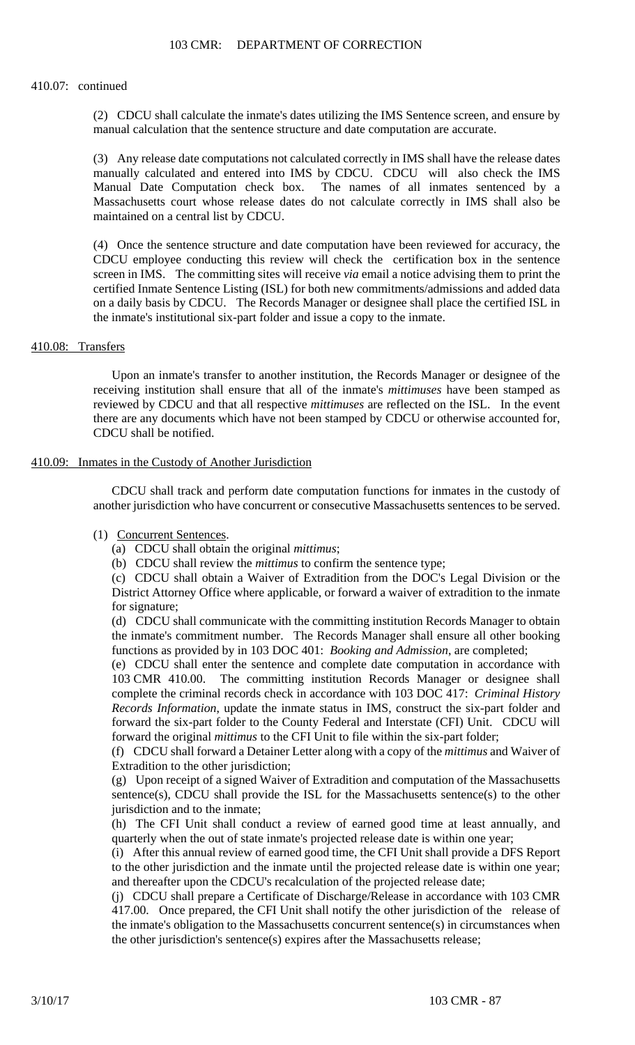#### 410.07: continued

(2) CDCU shall calculate the inmate's dates utilizing the IMS Sentence screen, and ensure by manual calculation that the sentence structure and date computation are accurate.

(3) Any release date computations not calculated correctly in IMS shall have the release dates manually calculated and entered into IMS by CDCU. CDCU will also check the IMS Manual Date Computation check box. The names of all inmates sentenced by a Massachusetts court whose release dates do not calculate correctly in IMS shall also be maintained on a central list by CDCU.

(4) Once the sentence structure and date computation have been reviewed for accuracy, the CDCU employee conducting this review will check the certification box in the sentence screen in IMS. The committing sites will receive *via* email a notice advising them to print the certified Inmate Sentence Listing (ISL) for both new commitments/admissions and added data on a daily basis by CDCU. The Records Manager or designee shall place the certified ISL in the inmate's institutional six-part folder and issue a copy to the inmate.

## 410.08: Transfers

Upon an inmate's transfer to another institution, the Records Manager or designee of the receiving institution shall ensure that all of the inmate's *mittimuses* have been stamped as reviewed by CDCU and that all respective *mittimuses* are reflected on the ISL. In the event there are any documents which have not been stamped by CDCU or otherwise accounted for, CDCU shall be notified.

## 410.09: Inmates in the Custody of Another Jurisdiction

CDCU shall track and perform date computation functions for inmates in the custody of another jurisdiction who have concurrent or consecutive Massachusetts sentences to be served.

## (1) Concurrent Sentences.

- (a) CDCU shall obtain the original *mittimus*;
- (b) CDCU shall review the *mittimus* to confirm the sentence type;

(c) CDCU shall obtain a Waiver of Extradition from the DOC's Legal Division or the District Attorney Office where applicable, or forward a waiver of extradition to the inmate for signature;

(d) CDCU shall communicate with the committing institution Records Manager to obtain the inmate's commitment number. The Records Manager shall ensure all other booking functions as provided by in 103 DOC 401: *Booking and Admission*, are completed;

(e) CDCU shall enter the sentence and complete date computation in accordance with 103 CMR 410.00. The committing institution Records Manager or designee shall complete the criminal records check in accordance with 103 DOC 417: *Criminal History Records Information*, update the inmate status in IMS, construct the six-part folder and forward the six-part folder to the County Federal and Interstate (CFI) Unit. CDCU will forward the original *mittimus* to the CFI Unit to file within the six-part folder;

(f) CDCU shall forward a Detainer Letter along with a copy of the *mittimus* and Waiver of Extradition to the other jurisdiction;

(g) Upon receipt of a signed Waiver of Extradition and computation of the Massachusetts sentence(s), CDCU shall provide the ISL for the Massachusetts sentence(s) to the other jurisdiction and to the inmate;

(h) The CFI Unit shall conduct a review of earned good time at least annually, and quarterly when the out of state inmate's projected release date is within one year;

(i) After this annual review of earned good time, the CFI Unit shall provide a DFS Report to the other jurisdiction and the inmate until the projected release date is within one year; and thereafter upon the CDCU's recalculation of the projected release date;

(j) CDCU shall prepare a Certificate of Discharge/Release in accordance with 103 CMR 417.00. Once prepared, the CFI Unit shall notify the other jurisdiction of the release of the inmate's obligation to the Massachusetts concurrent sentence(s) in circumstances when the other jurisdiction's sentence(s) expires after the Massachusetts release;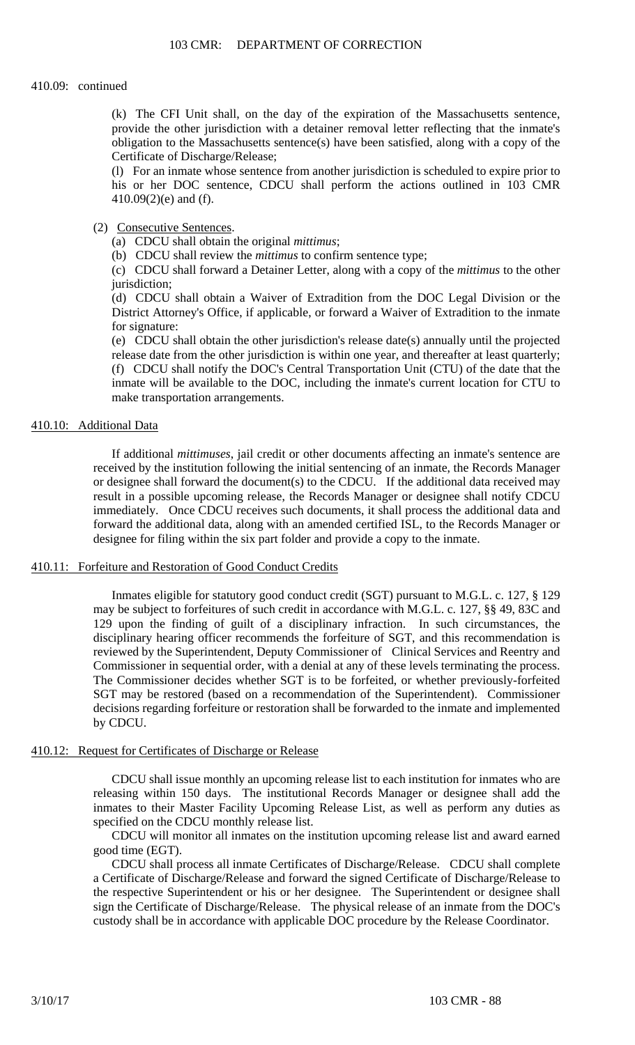#### 410.09: continued

(k) The CFI Unit shall, on the day of the expiration of the Massachusetts sentence, provide the other jurisdiction with a detainer removal letter reflecting that the inmate's obligation to the Massachusetts sentence(s) have been satisfied, along with a copy of the Certificate of Discharge/Release;

(l) For an inmate whose sentence from another jurisdiction is scheduled to expire prior to his or her DOC sentence, CDCU shall perform the actions outlined in 103 CMR 410.09(2)(e) and (f).

## (2) Consecutive Sentences.

- (a) CDCU shall obtain the original *mittimus*;
- (b) CDCU shall review the *mittimus* to confirm sentence type;

(c) CDCU shall forward a Detainer Letter, along with a copy of the *mittimus* to the other jurisdiction;

(d) CDCU shall obtain a Waiver of Extradition from the DOC Legal Division or the District Attorney's Office, if applicable, or forward a Waiver of Extradition to the inmate for signature:

(e) CDCU shall obtain the other jurisdiction's release date(s) annually until the projected release date from the other jurisdiction is within one year, and thereafter at least quarterly; (f) CDCU shall notify the DOC's Central Transportation Unit (CTU) of the date that the inmate will be available to the DOC, including the inmate's current location for CTU to make transportation arrangements.

## 410.10: Additional Data

If additional *mittimuses*, jail credit or other documents affecting an inmate's sentence are received by the institution following the initial sentencing of an inmate, the Records Manager or designee shall forward the document(s) to the CDCU. If the additional data received may result in a possible upcoming release, the Records Manager or designee shall notify CDCU immediately. Once CDCU receives such documents, it shall process the additional data and forward the additional data, along with an amended certified ISL, to the Records Manager or designee for filing within the six part folder and provide a copy to the inmate.

#### 410.11: Forfeiture and Restoration of Good Conduct Credits

Inmates eligible for statutory good conduct credit (SGT) pursuant to M.G.L. c. 127, § 129 may be subject to forfeitures of such credit in accordance with M.G.L. c. 127, §§ 49, 83C and 129 upon the finding of guilt of a disciplinary infraction. In such circumstances, the disciplinary hearing officer recommends the forfeiture of SGT, and this recommendation is reviewed by the Superintendent, Deputy Commissioner of Clinical Services and Reentry and Commissioner in sequential order, with a denial at any of these levels terminating the process. The Commissioner decides whether SGT is to be forfeited, or whether previously-forfeited SGT may be restored (based on a recommendation of the Superintendent). Commissioner decisions regarding forfeiture or restoration shall be forwarded to the inmate and implemented by CDCU.

## 410.12: Request for Certificates of Discharge or Release

CDCU shall issue monthly an upcoming release list to each institution for inmates who are releasing within 150 days. The institutional Records Manager or designee shall add the inmates to their Master Facility Upcoming Release List, as well as perform any duties as specified on the CDCU monthly release list.

CDCU will monitor all inmates on the institution upcoming release list and award earned good time (EGT).

CDCU shall process all inmate Certificates of Discharge/Release. CDCU shall complete a Certificate of Discharge/Release and forward the signed Certificate of Discharge/Release to the respective Superintendent or his or her designee. The Superintendent or designee shall sign the Certificate of Discharge/Release. The physical release of an inmate from the DOC's custody shall be in accordance with applicable DOC procedure by the Release Coordinator.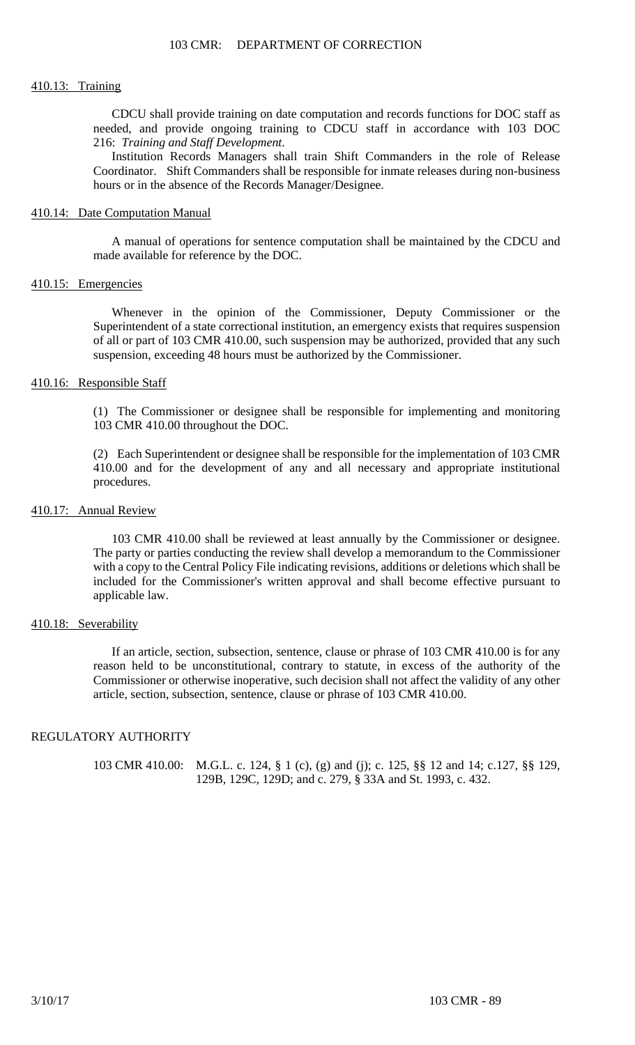#### 410.13: Training

CDCU shall provide training on date computation and records functions for DOC staff as needed, and provide ongoing training to CDCU staff in accordance with 103 DOC 216: *Training and Staff Development*.

Institution Records Managers shall train Shift Commanders in the role of Release Coordinator. Shift Commanders shall be responsible for inmate releases during non-business hours or in the absence of the Records Manager/Designee.

#### 410.14: Date Computation Manual

A manual of operations for sentence computation shall be maintained by the CDCU and made available for reference by the DOC.

## 410.15: Emergencies

Whenever in the opinion of the Commissioner, Deputy Commissioner or the Superintendent of a state correctional institution, an emergency exists that requires suspension of all or part of 103 CMR 410.00, such suspension may be authorized, provided that any such suspension, exceeding 48 hours must be authorized by the Commissioner.

## 410.16: Responsible Staff

(1) The Commissioner or designee shall be responsible for implementing and monitoring 103 CMR 410.00 throughout the DOC.

(2) Each Superintendent or designee shall be responsible for the implementation of 103 CMR 410.00 and for the development of any and all necessary and appropriate institutional procedures.

## 410.17: Annual Review

103 CMR 410.00 shall be reviewed at least annually by the Commissioner or designee. The party or parties conducting the review shall develop a memorandum to the Commissioner with a copy to the Central Policy File indicating revisions, additions or deletions which shall be included for the Commissioner's written approval and shall become effective pursuant to applicable law.

## 410.18: Severability

If an article, section, subsection, sentence, clause or phrase of 103 CMR 410.00 is for any reason held to be unconstitutional, contrary to statute, in excess of the authority of the Commissioner or otherwise inoperative, such decision shall not affect the validity of any other article, section, subsection, sentence, clause or phrase of 103 CMR 410.00.

## REGULATORY AUTHORITY

103 CMR 410.00: M.G.L. c. 124, § 1 (c), (g) and (j); c. 125, §§ 12 and 14; c.127, §§ 129, 129B, 129C, 129D; and c. 279, § 33A and St. 1993, c. 432.